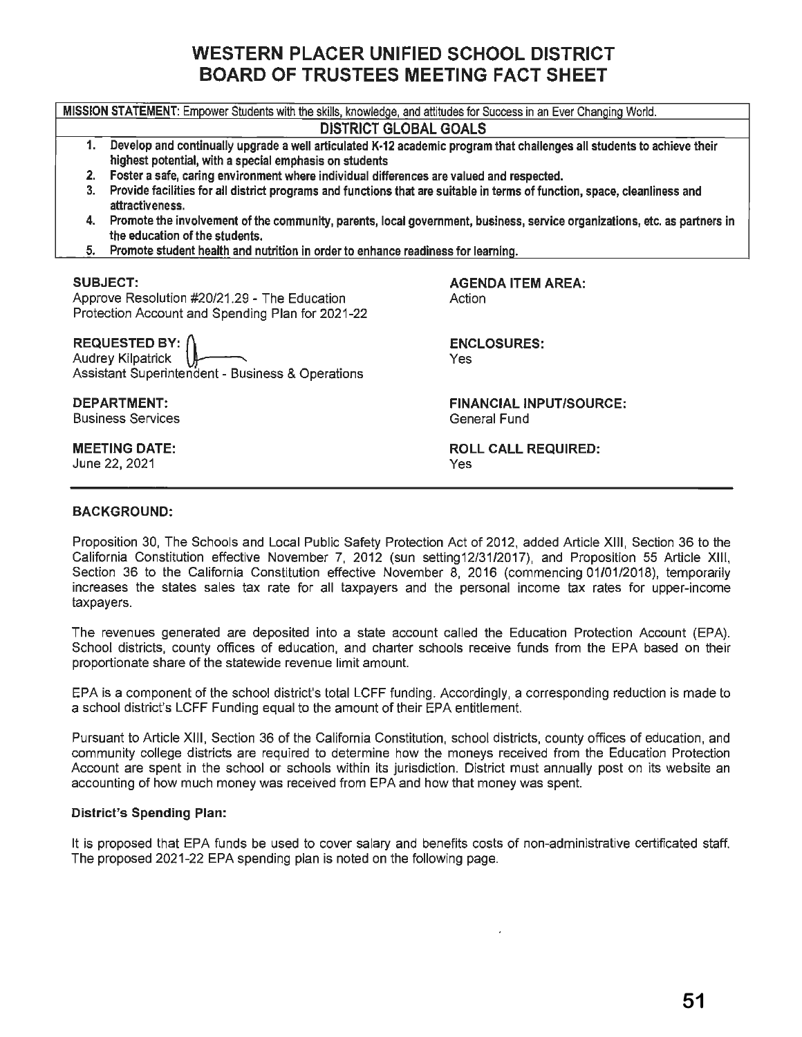# **WESTERN PLACER UNIFIED SCHOOL DISTRICT BOARD OF TRUSTEES MEETING FACT SHEET**

| MISSION STATEMENT: Empower Students with the skills, knowledge, and attitudes for Success in an Ever Changing World.                                                                   |                                                |  |  |  |  |
|----------------------------------------------------------------------------------------------------------------------------------------------------------------------------------------|------------------------------------------------|--|--|--|--|
| <b>DISTRICT GLOBAL GOALS</b>                                                                                                                                                           |                                                |  |  |  |  |
| 1.<br>Develop and continually upgrade a well articulated K-12 academic program that challenges all students to achieve their<br>highest potential, with a special emphasis on students |                                                |  |  |  |  |
| Foster a safe, caring environment where individual differences are valued and respected.<br>2.                                                                                         |                                                |  |  |  |  |
| 3.<br>Provide facilities for all district programs and functions that are suitable in terms of function, space, cleanliness and<br>attractiveness.                                     |                                                |  |  |  |  |
| Promote the involvement of the community, parents, local government, business, service organizations, etc. as partners in<br>4.<br>the education of the students.                      |                                                |  |  |  |  |
| Promote student health and nutrition in order to enhance readiness for learning.<br>5.                                                                                                 |                                                |  |  |  |  |
| <b>SUBJECT:</b>                                                                                                                                                                        | <b>AGENDA ITEM AREA:</b>                       |  |  |  |  |
| Approve Resolution #20/21.29 - The Education<br>Protection Account and Spending Plan for 2021-22                                                                                       | Action                                         |  |  |  |  |
| <b>REQUESTED BY: /</b>                                                                                                                                                                 | <b>ENCLOSURES:</b>                             |  |  |  |  |
| <b>Audrey Kilpatrick</b><br>Yes<br>Assistant Superintendent - Business & Operations                                                                                                    |                                                |  |  |  |  |
| DEPARTMENT:<br><b>Business Services</b>                                                                                                                                                | <b>FINANCIAL INPUT/SOURCE:</b><br>General Fund |  |  |  |  |
| <b>MEETING DATE:</b>                                                                                                                                                                   | <b>ROLL CALL REQUIRED:</b>                     |  |  |  |  |
| June 22, 2021                                                                                                                                                                          | Yes                                            |  |  |  |  |
|                                                                                                                                                                                        |                                                |  |  |  |  |

## **BACKGROUND:**

Proposition 30, The Schools and Local Public Safety Protection Act of 2012, added Article XIII, Section 36 to the California Constitution effective November 7, 2012 (sun setting12/31/2017), and Proposition 55 Article **XIII,**  Section 36 to the California Constitution effective November 8, 2016 (commencing 01/01/2018), temporarily increases the states sales tax rate for all taxpayers and the personal income tax rates for upper-income taxpayers.

The revenues generated are deposited into a state account called the Education Protection Account (EPA). School districts, county offices of education, and charter schools receive funds from the EPA based on their proportionate share of the statewide revenue limit amount.

EPA is a component of the school district's total LCFF funding. Accordingly, a corresponding reduction is made to a school district's LCFF Funding equal to the amount of their EPA entitlement.

Pursuant to Article Xlll, Section 36 of the California Constitution, school districts, county offices of education, and community college districts are required to determine how the moneys received from the Education Protection Account are spent in the school or schools within its jurisdiction. District must annually post on its website an accounting of how much money was received from EPA and how that money was spent.

#### **District's Spending Plan:**

It is proposed that EPA funds be used to cover salary and benefits costs of non-administrative certificated staff. The proposed 2021-22 EPA spending plan is noted on the following page.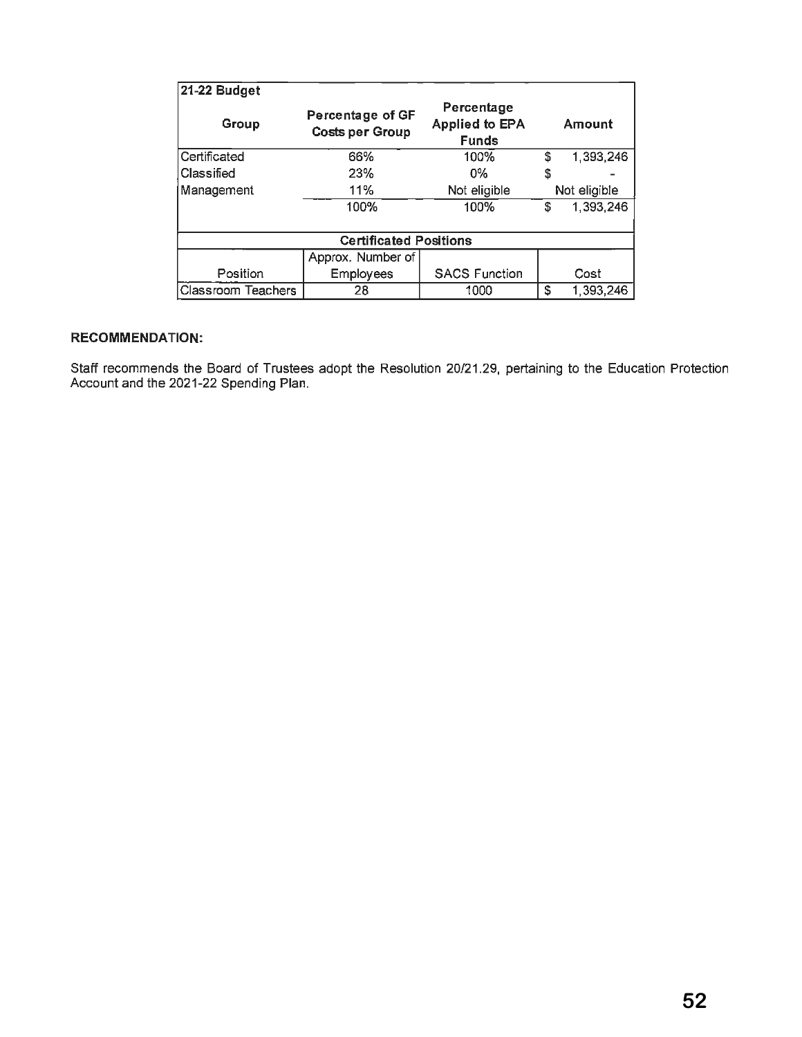| 21-22 Budget                  |                                            |                                                     |              |           |  |
|-------------------------------|--------------------------------------------|-----------------------------------------------------|--------------|-----------|--|
| Group                         | Percentage of GF<br><b>Costs per Group</b> | Percentage<br><b>Applied to EPA</b><br><b>Funds</b> | Amount       |           |  |
| Certificated                  | 66%                                        | 100%                                                | \$           | 1,393,246 |  |
| Classified                    | 23%                                        | $0\%$                                               | \$           |           |  |
| Management                    | 11%                                        | Not eligible                                        | Not eligible |           |  |
|                               | 100%                                       | 100%                                                | \$           | 1,393,246 |  |
| <b>Certificated Positions</b> |                                            |                                                     |              |           |  |
|                               | Approx. Number of                          |                                                     |              |           |  |
| Position                      | <b>Employees</b>                           | <b>SACS Function</b>                                |              | Cost      |  |
| Classroom Teachers            | 28                                         | 1000                                                | S            | 1,393,246 |  |

## **RECOMMENDATION:**

Staff recommends the Board of Trustees adopt the Resolution 20/21.29, pertaining to the Education Protection Account and the 2021-22 Spending Plan.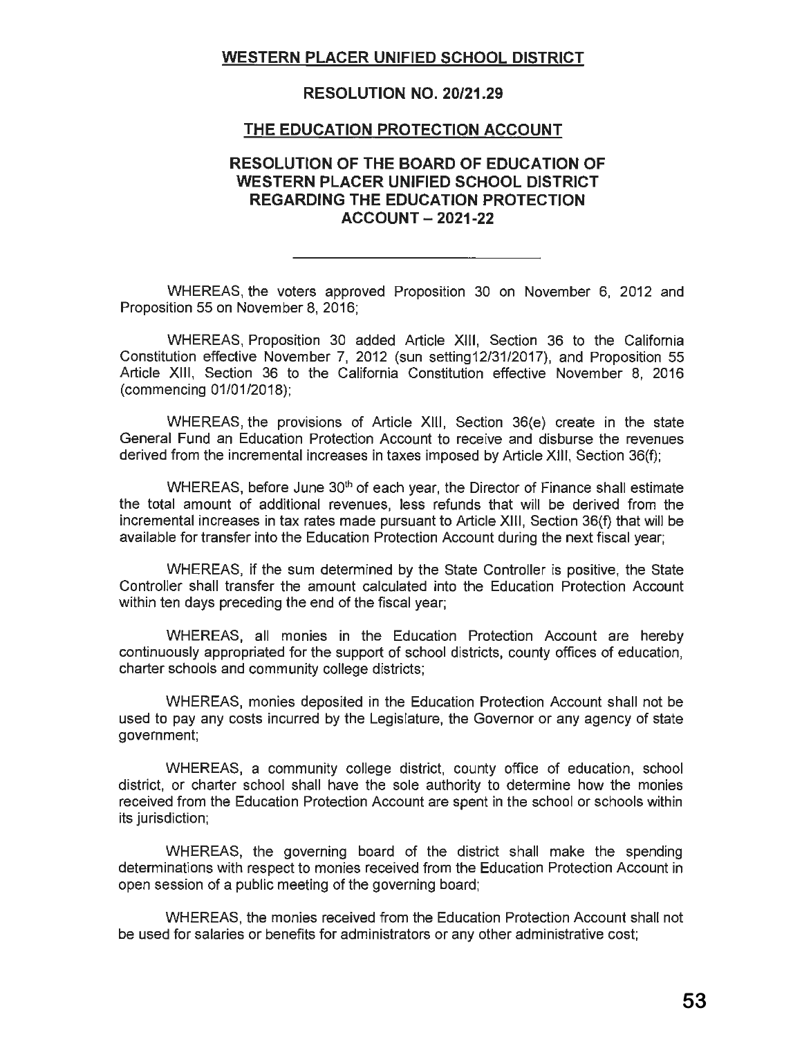# **WESTERN PLACER UNIFIED SCHOOL DISTRICT**

## **RESOLUTION NO. 20/21.29**

#### **THE EDUCATION PROTECTION ACCOUNT**

# **RESOLUTION OF THE BOARD OF EDUCATION OF WESTERN PLACER UNIFIED SCHOOL DISTRICT REGARDING THE EDUCATION PROTECTION ACCOUNT - 2021-22**

WHEREAS, the voters approved Proposition 30 on November 6, 2012 and Proposition 55 on November 8, 2016;

WHEREAS, Proposition 30 added Article XIII, Section 36 to the California Constitution effective November 7, 2012 (sun setting12/31/2017), and Proposition 55 Article **XIII,** Section 36 to the California Constitution effective November 8, 2016 (commencing 01/01/2018);

WHEREAS, the provisions of Article **XIII,** Section 36(e) create in the state General Fund an Education Protection Account to receive and disburse the revenues derived from the incremental increases in taxes imposed by Article XIII, Section 36(f);

WHEREAS, before June 30<sup>th</sup> of each year, the Director of Finance shall estimate the total amount of additional revenues, less refunds that will be derived from the incremental increases in tax rates made pursuant to Article **XIII,** Section 36(f) that will be available for transfer into the Education Protection Account during the next fiscal year;

WHEREAS, if the sum determined by the State Controller is positive, the State Controller shall transfer the amount calculated into the Education Protection Account within ten days preceding the end of the fiscal year;

WHEREAS, all monies in the Education Protection Account are hereby continuously appropriated for the support of school districts, county offices of education, charter schools and community college districts;

WHEREAS, monies deposited in the Education Protection Account shall not be used to pay any costs incurred by the Legislature, the Governor or any agency of state government;

WHEREAS, a community college district, county office of education, school district, or charter school shall have the sole authority to determine how the monies received from the Education Protection Account are spent in the school or schools within its jurisdiction;

WHEREAS, the governing board of the district shall make the spending determinations with respect to monies received from the Education Protection Account in open session of a public meeting of the governing board;

WHEREAS, the monies received from the Education Protection Account shall not be used for salaries or benefits for administrators or any other administrative cost;